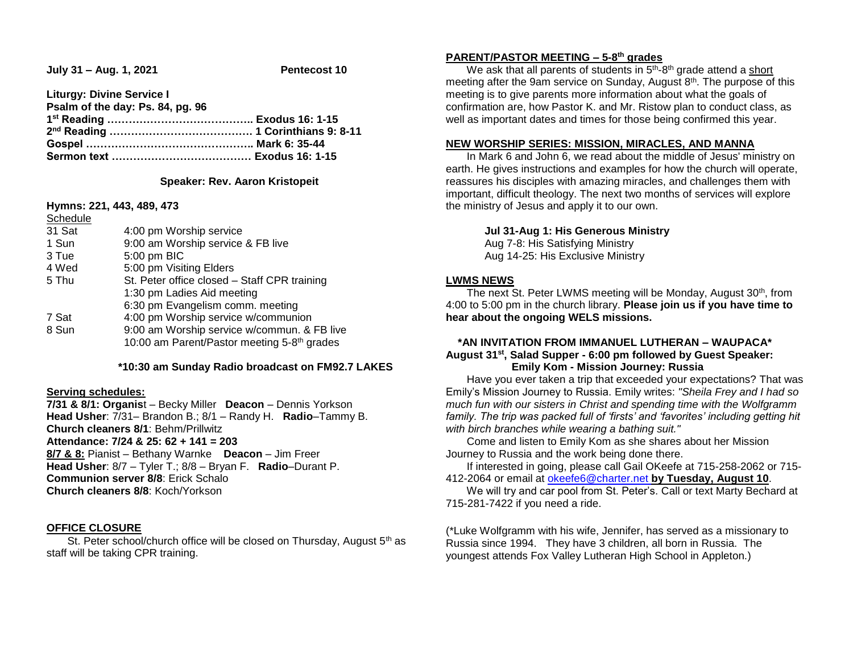**July 31 – Aug. 1, 2021 Pentecost 10**

**Liturgy: Divine Service I Psalm of the day: Ps. 84, pg. 96 1 st Reading ………………………………….. Exodus 16: 1-15 2 nd Reading …………………………………. 1 Corinthians 9: 8-11 Gospel ……………………………………….. Mark 6: 35-44 Sermon text ………………………………… Exodus 16: 1-15**

### **Speaker: Rev. Aaron Kristopeit**

**Hymns: 221, 443, 489, 473**

| Schedule |                                                         |  |  |
|----------|---------------------------------------------------------|--|--|
| 31 Sat   | 4:00 pm Worship service                                 |  |  |
| 1 Sun    | 9:00 am Worship service & FB live                       |  |  |
| 3 Tue    | 5:00 pm BIC                                             |  |  |
| 4 Wed    | 5:00 pm Visiting Elders                                 |  |  |
| 5 Thu    | St. Peter office closed - Staff CPR training            |  |  |
|          | 1:30 pm Ladies Aid meeting                              |  |  |
|          | 6:30 pm Evangelism comm. meeting                        |  |  |
| 7 Sat    | 4:00 pm Worship service w/communion                     |  |  |
| 8 Sun    | 9:00 am Worship service w/commun. & FB live             |  |  |
|          | 10:00 am Parent/Pastor meeting 5-8 <sup>th</sup> grades |  |  |

### **\*10:30 am Sunday Radio broadcast on FM92.7 LAKES**

### **Serving schedules:**

**7/31 & 8/1: Organis**t – Becky Miller **Deacon** – Dennis Yorkson **Head Usher**: 7/31– Brandon B.; 8/1 – Randy H. **Radio**–Tammy B. **Church cleaners 8/1**: Behm/Prillwitz **Attendance: 7/24 & 25: 62 + 141 = 203 8/7 & 8:** Pianist – Bethany Warnke **Deacon** – Jim Freer **Head Usher**: 8/7 – Tyler T.; 8/8 – Bryan F. **Radio**–Durant P. **Communion server 8/8**: Erick Schalo **Church cleaners 8/8**: Koch/Yorkson

### **OFFICE CLOSURE**

St. Peter school/church office will be closed on Thursday, August 5<sup>th</sup> as staff will be taking CPR training.

# **PARENT/PASTOR MEETING – 5-8 th grades**

We ask that all parents of students in 5<sup>th</sup>-8<sup>th</sup> grade attend a short meeting after the 9am service on Sunday, August  $8<sup>th</sup>$ . The purpose of this meeting is to give parents more information about what the goals of confirmation are, how Pastor K. and Mr. Ristow plan to conduct class, as well as important dates and times for those being confirmed this year.

### **NEW WORSHIP SERIES: MISSION, MIRACLES, AND MANNA**

 In Mark 6 and John 6, we read about the middle of Jesus' ministry on earth. He gives instructions and examples for how the church will operate, reassures his disciples with amazing miracles, and challenges them with important, difficult theology. The next two months of services will explore the ministry of Jesus and apply it to our own.

**Jul 31-Aug 1: His Generous Ministry**

Aug 7-8: His Satisfying Ministry Aug 14-25: His Exclusive Ministry

### **LWMS NEWS**

 The next St. Peter LWMS meeting will be Monday, August 30th, from 4:00 to 5:00 pm in the church library. **Please join us if you have time to hear about the ongoing WELS missions.**

# **\*AN INVITATION FROM IMMANUEL LUTHERAN – WAUPACA\* August 31st , Salad Supper - 6:00 pm followed by Guest Speaker: Emily Kom - Mission Journey: Russia**

 Have you ever taken a trip that exceeded your expectations? That was Emily's Mission Journey to Russia. Emily writes: *"Sheila Frey and I had so much fun with our sisters in Christ and spending time with the Wolfgramm family. The trip was packed full of 'firsts' and 'favorites' including getting hit with birch branches while wearing a bathing suit."*

 Come and listen to Emily Kom as she shares about her Mission Journey to Russia and the work being done there.

 If interested in going, please call Gail OKeefe at 715-258-2062 or 715- 412-2064 or email at [okeefe6@charter.net](mailto:okeefe6@charter.net) **by Tuesday, August 10**.

 We will try and car pool from St. Peter's. Call or text Marty Bechard at 715-281-7422 if you need a ride.

(\*Luke Wolfgramm with his wife, Jennifer, has served as a missionary to Russia since 1994. They have 3 children, all born in Russia. The youngest attends Fox Valley Lutheran High School in Appleton.)